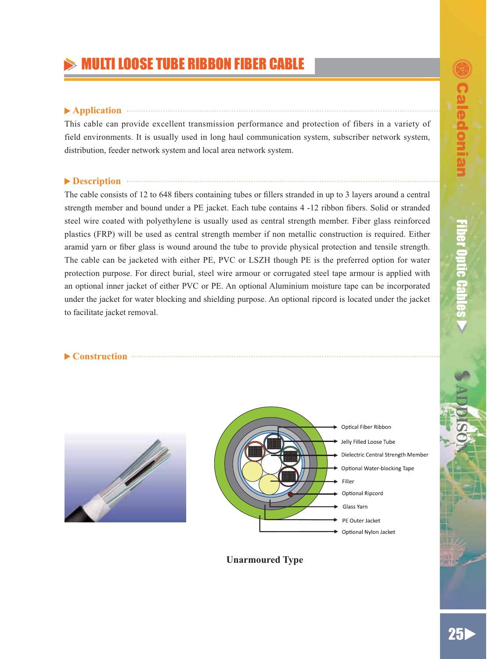# **MULTI LOOSE TUBE RIBBON FIBER CABLE**

### **Application**

This cable can provide excellent transmission performance and protection of fibers in a variety of field environments. It is usually used in long haul communication system, subscriber network system, distribution, feeder network system and local area network system.

## **Description Example 20 Description**

The cable consists of 12 to 648 fibers containing tubes or fillers stranded in up to 3 layers around a central strength member and bound under a PE jacket. Each tube contains 4 -12 ribbon fibers. Solid or stranded steel wire coated with polyethylene is usually used as central strength member. Fiber glass reinforced plastics (FRP) will be used as central strength member if non metallic construction is required. Either aramid yarn or fiber glass is wound around the tube to provide physical protection and tensile strength. The cable can be jacketed with either PE, PVC or LSZH though PE is the preferred option for water protection purpose. For direct burial, steel wire armour or corrugated steel tape armour is applied with an optional inner jacket of either PVC or PE. An optional Aluminium moisture tape can be incorporated under the jacket for water blocking and shielding purpose. An optional ripcord is located under the jacket to facilitate jacket removal.







**Unarmoured Type**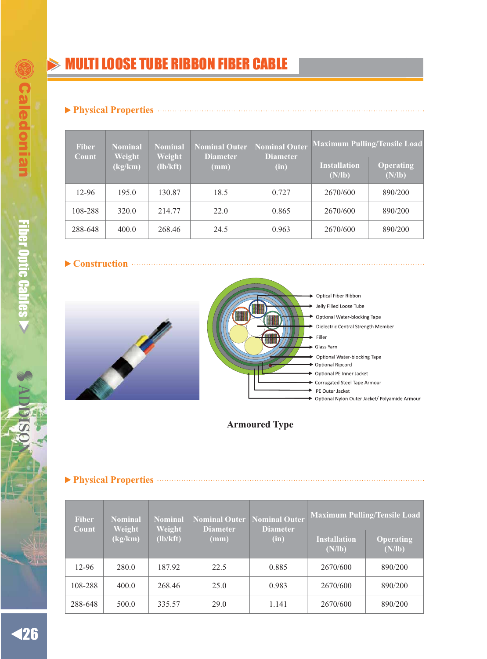# **MULTI LOOSE TUBE RIBBON FIBER CABLE**

### **Physical Properties**

| <b>Fiber</b> | <b>Nominal</b> | <b>Nominal Outer</b><br>Nominal<br>Weight<br>Weight<br><b>Diameter</b><br><b>Diameter</b><br>(lb/kft)<br>(mm)<br>(in) | <b>Nominal Outer</b> | <b>Maximum Pulling/Tensile Load</b> |                               |                     |
|--------------|----------------|-----------------------------------------------------------------------------------------------------------------------|----------------------|-------------------------------------|-------------------------------|---------------------|
| Count        | (kg/km)        |                                                                                                                       |                      |                                     | <b>Installation</b><br>(N/lb) | Operating<br>(N/lb) |
| 12-96        | 195.0          | 130.87                                                                                                                | 18.5                 | 0.727                               | 2670/600                      | 890/200             |
| 108-288      | 320.0          | 214.77                                                                                                                | 22.0                 | 0.865                               | 2670/600                      | 890/200             |
| 288-648      | 400.0          | 268.46                                                                                                                | 24.5                 | 0.963                               | 2670/600                      | 890/200             |

### **Construction**





Optical Fiber Ribbon Jelly Filled Loose Tube Optional Water-blocking Tape Dielectric Central Strength Member Glass Yarn Optional Water-blocking Tape Optional Ripcord Optional PE Inner Jacket Corrugated Steel Tape Armour PE Outer Jacket → Optional Nylon Outer Jacket/ Polyamide Armour

## **Armoured Type**

**Physical Properties**

| <b>Fiber</b><br>Count | <b>Nominal</b> | <b>Nominal Outer</b><br>Nominal<br>Weight<br>Weight<br><b>Diameter</b><br><b>Diameter</b><br>(lb/kft)<br>(mm)<br>(in) | <b>Nominal Outer</b> | <b>Maximum Pulling/Tensile Load</b> |                               |                            |
|-----------------------|----------------|-----------------------------------------------------------------------------------------------------------------------|----------------------|-------------------------------------|-------------------------------|----------------------------|
|                       | (kg/km)        |                                                                                                                       |                      |                                     | <b>Installation</b><br>(N/lb) | <b>Operating</b><br>(N/lb) |
| 12-96                 | 280.0          | 187.92                                                                                                                | 22.5                 | 0.885                               | 2670/600                      | 890/200                    |
| 108-288               | 400.0          | 268.46                                                                                                                | 25.0                 | 0.983                               | 2670/600                      | 890/200                    |
| 288-648               | 500.0          | 335.57                                                                                                                | 29.0                 | 1.141                               | 2670/600                      | 890/200                    |